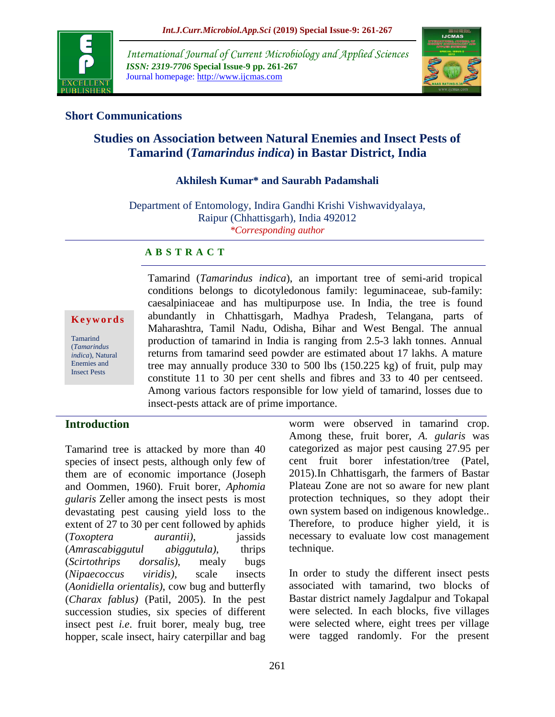

*International Journal of Current Microbiology and Applied Sciences ISSN: 2319-7706* **Special Issue-9 pp. 261-267** Journal homepage: http://www.ijcmas.com



## **Short Communications**

# **Studies on Association between Natural Enemies and Insect Pests of Tamarind (***Tamarindus indica***) in Bastar District, India**

# **Akhilesh Kumar\* and Saurabh Padamshali**

Department of Entomology, Indira Gandhi Krishi Vishwavidyalaya, Raipur (Chhattisgarh), India 492012 *\*Corresponding author*

#### **A B S T R A C T**

**K e y w o r d s**

Tamarind (*Tamarindus indica*), Natural Enemies and Insect Pests

Tamarind (*Tamarindus indica*), an important tree of semi-arid tropical conditions belongs to dicotyledonous family: leguminaceae, sub-family: caesalpiniaceae and has multipurpose use. In India, the tree is found abundantly in Chhattisgarh, Madhya Pradesh, Telangana, parts of Maharashtra, Tamil Nadu, Odisha, Bihar and West Bengal. The annual production of tamarind in India is ranging from 2.5-3 lakh tonnes. Annual returns from tamarind seed powder are estimated about 17 lakhs. A mature tree may annually produce 330 to 500 lbs (150.225 kg) of fruit, pulp may constitute 11 to 30 per cent shells and fibres and 33 to 40 per centseed. Among various factors responsible for low yield of tamarind, losses due to insect-pests attack are of prime importance.

# **Introduction**

Tamarind tree is attacked by more than 40 species of insect pests, although only few of them are of economic importance (Joseph and Oommen, 1960). Fruit borer, *Aphomia gularis* Zeller among the insect pests is most devastating pest causing yield loss to the extent of 27 to 30 per cent followed by aphids (*Toxoptera aurantii)*, jassids (*Amrascabiggutul abiggutula)*, thrips (*Scirtothrips dorsalis)*, mealy bugs (*Nipaecoccus viridis)*, scale insects (*Aonidiella orientalis)*, cow bug and butterfly (*Charax fablus)* (Patil, 2005). In the pest succession studies, six species of different insect pest *i.e*. fruit borer, mealy bug, tree hopper, scale insect, hairy caterpillar and bag worm were observed in tamarind crop. Among these, fruit borer, *A. gularis* was categorized as major pest causing 27.95 per cent fruit borer infestation/tree (Patel, 2015).In Chhattisgarh, the farmers of Bastar Plateau Zone are not so aware for new plant protection techniques, so they adopt their own system based on indigenous knowledge.. Therefore, to produce higher yield, it is necessary to evaluate low cost management technique.

In order to study the different insect pests associated with tamarind, two blocks of Bastar district namely Jagdalpur and Tokapal were selected. In each blocks, five villages were selected where, eight trees per village were tagged randomly. For the present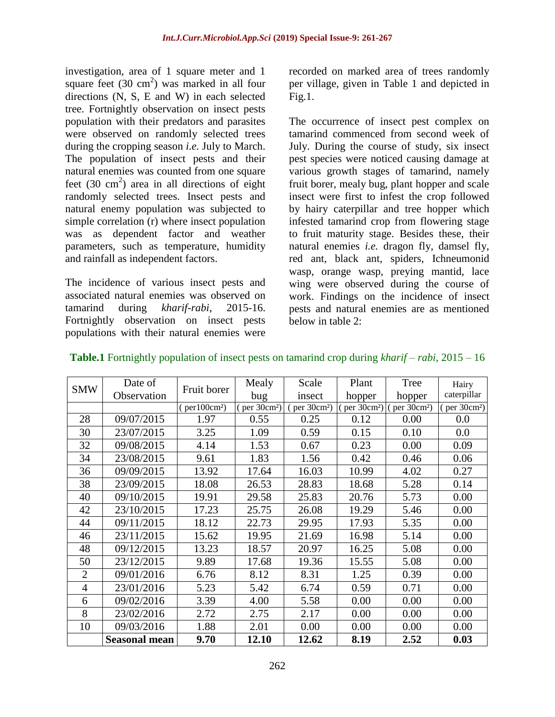investigation, area of 1 square meter and 1 square feet  $(30 \text{ cm}^2)$  was marked in all four directions (N, S, E and W) in each selected tree. Fortnightly observation on insect pests population with their predators and parasites were observed on randomly selected trees during the cropping season *i.e.* July to March. The population of insect pests and their natural enemies was counted from one square feet  $(30 \text{ cm}^2)$  area in all directions of eight randomly selected trees. Insect pests and natural enemy population was subjected to simple correlation (r) where insect population was as dependent factor and weather parameters, such as temperature, humidity and rainfall as independent factors.

The incidence of various insect pests and associated natural enemies was observed on tamarind during *kharif-rabi*, 2015-16. Fortnightly observation on insect pests populations with their natural enemies were

recorded on marked area of trees randomly per village, given in Table 1 and depicted in  $Fig.1.$ 

The occurrence of insect pest complex on tamarind commenced from second week of July. During the course of study, six insect pest species were noticed causing damage at various growth stages of tamarind, namely fruit borer, mealy bug, plant hopper and scale insect were first to infest the crop followed by hairy caterpillar and tree hopper which infested tamarind crop from flowering stage to fruit maturity stage. Besides these, their natural enemies *i.e.* dragon fly, damsel fly, red ant, black ant, spiders, Ichneumonid wasp, orange wasp, preying mantid, lace wing were observed during the course of work. Findings on the incidence of insect pests and natural enemies are as mentioned below in table  $2^{\circ}$ 

| <b>SMW</b>     | Date of              |                          | Mealy                    | Scale                   | Plant                   | Tree                    | Hairy                   |
|----------------|----------------------|--------------------------|--------------------------|-------------------------|-------------------------|-------------------------|-------------------------|
|                | Observation          | Fruit borer              | bug                      | insect                  | hopper                  | hopper                  | caterpillar             |
|                |                      | (per100cm <sup>2</sup> ) | (per 30cm <sup>2</sup> ) | per 30cm <sup>2</sup> ) | per 30cm <sup>2</sup> ) | per 30cm <sup>2</sup> ) | per 30cm <sup>2</sup> ) |
| 28             | 09/07/2015           | 1.97                     | 0.55                     | 0.25                    | 0.12                    | 0.00                    | 0.0                     |
| 30             | 23/07/2015           | 3.25                     | 1.09                     | 0.59                    | 0.15                    | 0.10                    | 0.0                     |
| 32             | 09/08/2015           | 4.14                     | 1.53                     | 0.67                    | 0.23                    | 0.00                    | 0.09                    |
| 34             | 23/08/2015           | 9.61                     | 1.83                     | 1.56                    | 0.42                    | 0.46                    | 0.06                    |
| 36             | 09/09/2015           | 13.92                    | 17.64                    | 16.03                   | 10.99                   | 4.02                    | 0.27                    |
| 38             | 23/09/2015           | 18.08                    | 26.53                    | 28.83                   | 18.68                   | 5.28                    | 0.14                    |
| 40             | 09/10/2015           | 19.91                    | 29.58                    | 25.83                   | 20.76                   | 5.73                    | 0.00                    |
| 42             | 23/10/2015           | 17.23                    | 25.75                    | 26.08                   | 19.29                   | 5.46                    | 0.00                    |
| 44             | 09/11/2015           | 18.12                    | 22.73                    | 29.95                   | 17.93                   | 5.35                    | 0.00                    |
| 46             | 23/11/2015           | 15.62                    | 19.95                    | 21.69                   | 16.98                   | 5.14                    | 0.00                    |
| 48             | 09/12/2015           | 13.23                    | 18.57                    | 20.97                   | 16.25                   | 5.08                    | 0.00                    |
| 50             | 23/12/2015           | 9.89                     | 17.68                    | 19.36                   | 15.55                   | 5.08                    | 0.00                    |
| $\overline{2}$ | 09/01/2016           | 6.76                     | 8.12                     | 8.31                    | 1.25                    | 0.39                    | 0.00                    |
| $\overline{4}$ | 23/01/2016           | 5.23                     | 5.42                     | 6.74                    | 0.59                    | 0.71                    | 0.00                    |
| 6              | 09/02/2016           | 3.39                     | 4.00                     | 5.58                    | 0.00                    | 0.00                    | 0.00                    |
| 8              | 23/02/2016           | 2.72                     | 2.75                     | 2.17                    | 0.00                    | 0.00                    | 0.00                    |
| 10             | 09/03/2016           | 1.88                     | 2.01                     | 0.00                    | 0.00                    | 0.00                    | 0.00                    |
|                | <b>Seasonal mean</b> | 9.70                     | 12.10                    | 12.62                   | 8.19                    | 2.52                    | 0.03                    |

**Table.1** Fortnightly population of insect pests on tamarind crop during *kharif – rabi*, 2015 – 16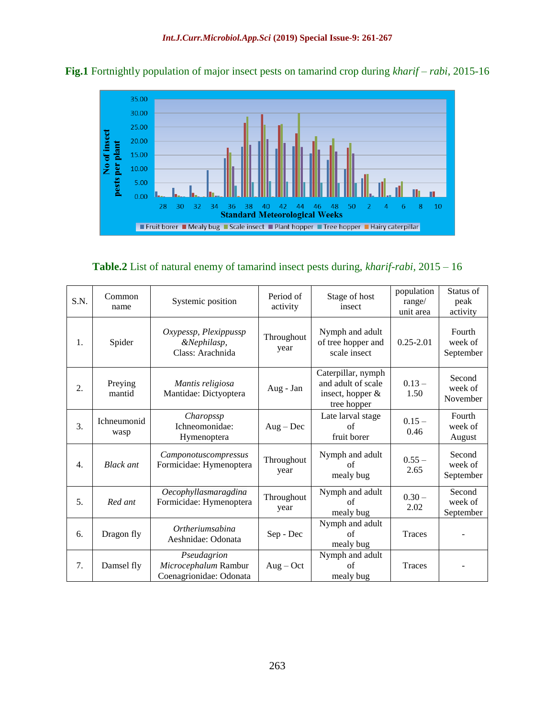

**Fig.1** Fortnightly population of major insect pests on tamarind crop during *kharif – rabi*, 2015-16

| S.N.             | Common<br>name             | Systemic position                                              | Period of<br>activity | Stage of host<br>insect                                                     | population<br>range/<br>unit area | Status of<br>peak<br>activity  |
|------------------|----------------------------|----------------------------------------------------------------|-----------------------|-----------------------------------------------------------------------------|-----------------------------------|--------------------------------|
| 1.               | Spider                     | Oxypessp, Plexippussp<br>&Nephilasp,<br>Class: Arachnida       | Throughout<br>year    | Nymph and adult<br>of tree hopper and<br>scale insect                       | $0.25 - 2.01$                     | Fourth<br>week of<br>September |
| 2.               | Preying<br>mantid          | Mantis religiosa<br>Mantidae: Dictyoptera                      | Aug - Jan             | Caterpillar, nymph<br>and adult of scale<br>insect, hopper &<br>tree hopper | $0.13 -$<br>1.50                  | Second<br>week of<br>November  |
| 3.               | <b>Ichneumonid</b><br>wasp | Charopssp<br>Ichneomonidae:<br>Hymenoptera                     | $Aug - Dec$           | Late larval stage<br>of<br>fruit borer                                      | $0.15 -$<br>0.46                  | Fourth<br>week of<br>August    |
| $\overline{4}$ . | <b>Black ant</b>           | Camponotuscompressus<br>Formicidae: Hymenoptera                | Throughout<br>year    | Nymph and adult<br>οf<br>mealy bug                                          | $0.55 -$<br>2.65                  | Second<br>week of<br>September |
| 5.               | Red ant                    | Oecophyllasmaragdina<br>Formicidae: Hymenoptera                | Throughout<br>year    | Nymph and adult<br>of<br>mealy bug                                          | $0.30 -$<br>2.02                  | Second<br>week of<br>September |
| 6.               | Dragon fly                 | <i>Ortheriumsabina</i><br>Aeshnidae: Odonata                   | Sep - Dec             | Nymph and adult<br>of<br>mealy bug                                          | <b>Traces</b>                     |                                |
| 7.               | Damsel fly                 | Pseudagrion<br>Microcephalum Rambur<br>Coenagrionidae: Odonata | $Aug - Oct$           | Nymph and adult<br>of<br>mealy bug                                          | Traces                            |                                |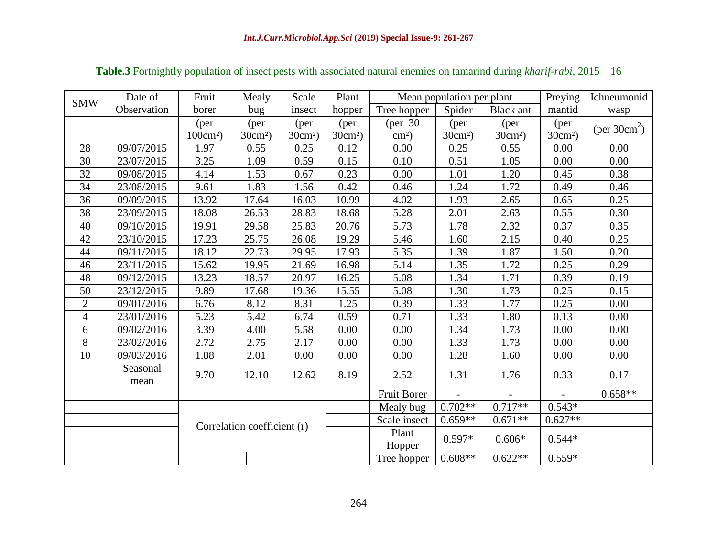| <b>SMW</b>     | Date of     | Fruit                       | Mealy     | Scale     | Plant     | Mean population per plant |           |                  | Preying                  | Ichneumonid             |
|----------------|-------------|-----------------------------|-----------|-----------|-----------|---------------------------|-----------|------------------|--------------------------|-------------------------|
|                | Observation | borer                       | bug       | insect    | hopper    | Tree hopper               | Spider    | <b>Black</b> ant | mantid                   | wasp                    |
|                |             | (per                        | (per      | (per      | (per      | (per 30)                  | (per      | (per             | (per                     | (per $30 \text{cm}^2$ ) |
|                |             | $100 \text{cm}^2$ )         | $30cm2$ ) | $30cm2$ ) | $30cm2$ ) | $\text{cm}^2$ )           | $30cm2$ ) | $30cm2$ )        | $30cm2$ )                |                         |
| 28             | 09/07/2015  | 1.97                        | 0.55      | 0.25      | 0.12      | 0.00                      | 0.25      | 0.55             | 0.00                     | 0.00                    |
| 30             | 23/07/2015  | 3.25                        | 1.09      | 0.59      | 0.15      | 0.10                      | 0.51      | 1.05             | 0.00                     | 0.00                    |
| 32             | 09/08/2015  | 4.14                        | 1.53      | 0.67      | 0.23      | 0.00                      | 1.01      | 1.20             | 0.45                     | 0.38                    |
| 34             | 23/08/2015  | 9.61                        | 1.83      | 1.56      | 0.42      | 0.46                      | 1.24      | 1.72             | 0.49                     | 0.46                    |
| 36             | 09/09/2015  | 13.92                       | 17.64     | 16.03     | 10.99     | 4.02                      | 1.93      | 2.65             | 0.65                     | 0.25                    |
| 38             | 23/09/2015  | 18.08                       | 26.53     | 28.83     | 18.68     | 5.28                      | 2.01      | 2.63             | 0.55                     | 0.30                    |
| 40             | 09/10/2015  | 19.91                       | 29.58     | 25.83     | 20.76     | 5.73                      | 1.78      | 2.32             | 0.37                     | 0.35                    |
| 42             | 23/10/2015  | 17.23                       | 25.75     | 26.08     | 19.29     | 5.46                      | 1.60      | 2.15             | 0.40                     | 0.25                    |
| 44             | 09/11/2015  | 18.12                       | 22.73     | 29.95     | 17.93     | 5.35                      | 1.39      | 1.87             | 1.50                     | 0.20                    |
| 46             | 23/11/2015  | 15.62                       | 19.95     | 21.69     | 16.98     | 5.14                      | 1.35      | 1.72             | 0.25                     | 0.29                    |
| 48             | 09/12/2015  | 13.23                       | 18.57     | 20.97     | 16.25     | 5.08                      | 1.34      | 1.71             | 0.39                     | 0.19                    |
| 50             | 23/12/2015  | 9.89                        | 17.68     | 19.36     | 15.55     | 5.08                      | 1.30      | 1.73             | 0.25                     | 0.15                    |
| 2              | 09/01/2016  | 6.76                        | 8.12      | 8.31      | 1.25      | 0.39                      | 1.33      | 1.77             | 0.25                     | 0.00                    |
| $\overline{4}$ | 23/01/2016  | 5.23                        | 5.42      | 6.74      | 0.59      | 0.71                      | 1.33      | 1.80             | 0.13                     | 0.00                    |
| 6              | 09/02/2016  | $\overline{3.39}$           | 4.00      | 5.58      | 0.00      | 0.00                      | 1.34      | 1.73             | 0.00                     | 0.00                    |
| 8              | 23/02/2016  | 2.72                        | 2.75      | 2.17      | 0.00      | 0.00                      | 1.33      | 1.73             | 0.00                     | 0.00                    |
| 10             | 09/03/2016  | 1.88                        | 2.01      | 0.00      | 0.00      | 0.00                      | 1.28      | 1.60             | 0.00                     | 0.00                    |
|                | Seasonal    | 9.70                        | 12.10     | 12.62     | 8.19      | 2.52                      | 1.31      | 1.76             | 0.33                     | 0.17                    |
|                | mean        |                             |           |           |           |                           |           |                  |                          |                         |
|                |             |                             |           |           |           | <b>Fruit Borer</b>        | $\equiv$  | $\equiv$         | $\overline{\phantom{a}}$ | $0.658**$               |
|                |             | Correlation coefficient (r) |           |           |           | Mealy bug                 | $0.702**$ | $0.717**$        | $0.543*$                 |                         |
|                |             |                             |           |           |           | Scale insect              | $0.659**$ | $0.671**$        | $0.627**$                |                         |
|                |             |                             |           |           |           | Plant                     | $0.597*$  | $0.606*$         | $0.544*$                 |                         |
|                |             |                             |           |           | Hopper    |                           |           |                  |                          |                         |
|                |             |                             |           |           |           | Tree hopper               | $0.608**$ | $0.622**$        | $0.559*$                 |                         |

**Table.3** Fortnightly population of insect pests with associated natural enemies on tamarind during *kharif-rabi*, 2015 – 16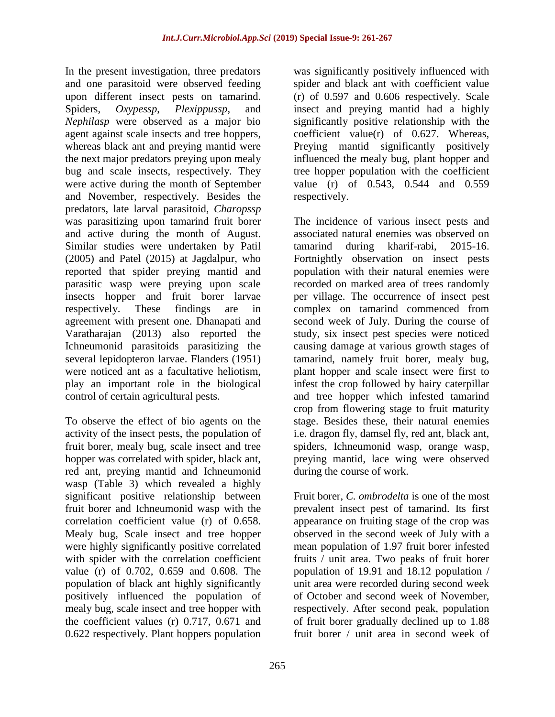In the present investigation, three predators and one parasitoid were observed feeding upon different insect pests on tamarind. Spiders, *Oxypessp*, *Plexippussp*, and *Nephilasp* were observed as a major bio agent against scale insects and tree hoppers, whereas black ant and preying mantid were the next major predators preying upon mealy bug and scale insects, respectively. They were active during the month of September and November, respectively. Besides the predators, late larval parasitoid, *Charopssp* was parasitizing upon tamarind fruit borer and active during the month of August. Similar studies were undertaken by Patil (2005) and Patel (2015) at Jagdalpur, who reported that spider preying mantid and parasitic wasp were preying upon scale insects hopper and fruit borer larvae respectively. These findings are in agreement with present one. Dhanapati and Varatharajan (2013) also reported the Ichneumonid parasitoids parasitizing the several lepidopteron larvae. Flanders (1951) were noticed ant as a facultative heliotism, play an important role in the biological control of certain agricultural pests.

To observe the effect of bio agents on the activity of the insect pests, the population of fruit borer, mealy bug, scale insect and tree hopper was correlated with spider, black ant, red ant, preying mantid and Ichneumonid wasp (Table 3) which revealed a highly significant positive relationship between fruit borer and Ichneumonid wasp with the correlation coefficient value (r) of 0.658. Mealy bug, Scale insect and tree hopper were highly significantly positive correlated with spider with the correlation coefficient value (r) of 0.702, 0.659 and 0.608. The population of black ant highly significantly positively influenced the population of mealy bug, scale insect and tree hopper with the coefficient values (r) 0.717, 0.671 and 0.622 respectively. Plant hoppers population

was significantly positively influenced with spider and black ant with coefficient value (r) of 0.597 and 0.606 respectively. Scale insect and preying mantid had a highly significantly positive relationship with the coefficient value(r) of 0.627. Whereas, Preying mantid significantly positively influenced the mealy bug, plant hopper and tree hopper population with the coefficient value (r) of 0.543, 0.544 and 0.559 respectively.

The incidence of various insect pests and associated natural enemies was observed on tamarind during kharif-rabi, 2015-16. Fortnightly observation on insect pests population with their natural enemies were recorded on marked area of trees randomly per village. The occurrence of insect pest complex on tamarind commenced from second week of July. During the course of study, six insect pest species were noticed causing damage at various growth stages of tamarind, namely fruit borer, mealy bug, plant hopper and scale insect were first to infest the crop followed by hairy caterpillar and tree hopper which infested tamarind crop from flowering stage to fruit maturity stage. Besides these, their natural enemies i.e. dragon fly, damsel fly, red ant, black ant, spiders, Ichneumonid wasp, orange wasp, preying mantid, lace wing were observed during the course of work.

Fruit borer, *C. ombrodelta* is one of the most prevalent insect pest of tamarind. Its first appearance on fruiting stage of the crop was observed in the second week of July with a mean population of 1.97 fruit borer infested fruits / unit area. Two peaks of fruit borer population of 19.91 and 18.12 population / unit area were recorded during second week of October and second week of November, respectively. After second peak, population of fruit borer gradually declined up to 1.88 fruit borer / unit area in second week of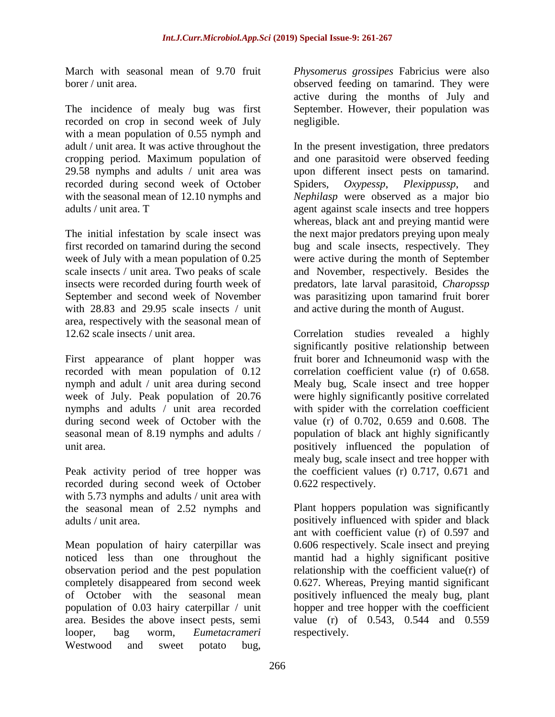March with seasonal mean of 9.70 fruit borer / unit area.

The incidence of mealy bug was first recorded on crop in second week of July with a mean population of 0.55 nymph and adult / unit area. It was active throughout the cropping period. Maximum population of 29.58 nymphs and adults / unit area was recorded during second week of October with the seasonal mean of 12.10 nymphs and adults / unit area. T

The initial infestation by scale insect was first recorded on tamarind during the second week of July with a mean population of 0.25 scale insects / unit area. Two peaks of scale insects were recorded during fourth week of September and second week of November with 28.83 and 29.95 scale insects / unit area, respectively with the seasonal mean of 12.62 scale insects / unit area.

First appearance of plant hopper was recorded with mean population of 0.12 nymph and adult / unit area during second week of July. Peak population of 20.76 nymphs and adults / unit area recorded during second week of October with the seasonal mean of 8.19 nymphs and adults / unit area.

Peak activity period of tree hopper was recorded during second week of October with 5.73 nymphs and adults / unit area with the seasonal mean of 2.52 nymphs and adults / unit area.

Mean population of hairy caterpillar was noticed less than one throughout the observation period and the pest population completely disappeared from second week of October with the seasonal mean population of 0.03 hairy caterpillar / unit area. Besides the above insect pests, semi looper, bag worm, *Eumetacrameri* Westwood and sweet potato bug,

*Physomerus grossipes* Fabricius were also observed feeding on tamarind. They were active during the months of July and September. However, their population was negligible.

In the present investigation, three predators and one parasitoid were observed feeding upon different insect pests on tamarind. Spiders, *Oxypessp*, *Plexippussp*, and *Nephilasp* were observed as a major bio agent against scale insects and tree hoppers whereas, black ant and preying mantid were the next major predators preying upon mealy bug and scale insects, respectively. They were active during the month of September and November, respectively. Besides the predators, late larval parasitoid, *Charopssp* was parasitizing upon tamarind fruit borer and active during the month of August.

Correlation studies revealed a highly significantly positive relationship between fruit borer and Ichneumonid wasp with the correlation coefficient value (r) of 0.658. Mealy bug, Scale insect and tree hopper were highly significantly positive correlated with spider with the correlation coefficient value (r) of 0.702, 0.659 and 0.608. The population of black ant highly significantly positively influenced the population of mealy bug, scale insect and tree hopper with the coefficient values (r) 0.717, 0.671 and 0.622 respectively.

Plant hoppers population was significantly positively influenced with spider and black ant with coefficient value (r) of 0.597 and 0.606 respectively. Scale insect and preying mantid had a highly significant positive relationship with the coefficient value(r) of 0.627. Whereas, Preying mantid significant positively influenced the mealy bug, plant hopper and tree hopper with the coefficient value (r) of 0.543, 0.544 and 0.559 respectively.